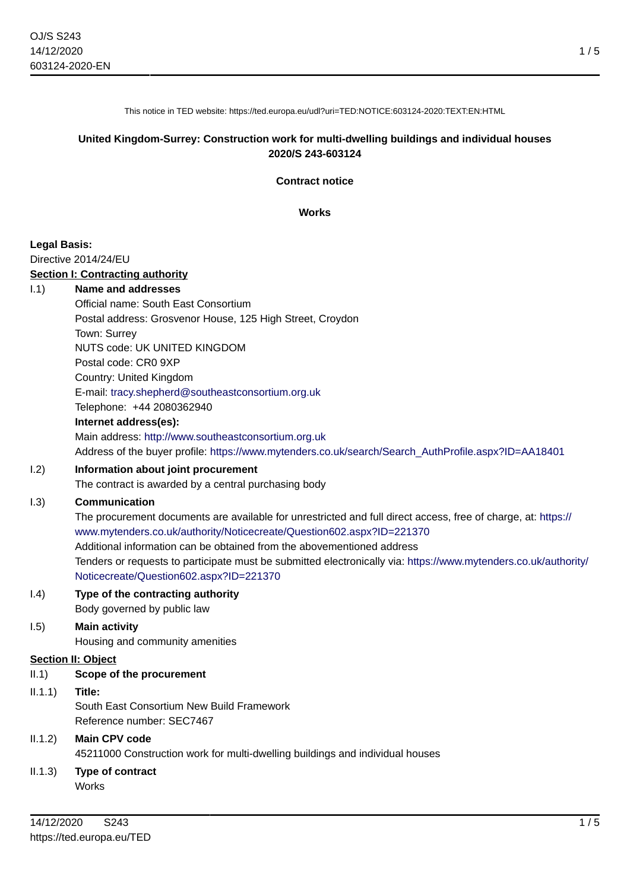This notice in TED website: https://ted.europa.eu/udl?uri=TED:NOTICE:603124-2020:TEXT:EN:HTML

## **United Kingdom-Surrey: Construction work for multi-dwelling buildings and individual houses 2020/S 243-603124**

**Contract notice**

**Works**

## **Legal Basis:**

Directive 2014/24/EU

#### **Section I: Contracting authority**

#### I.1) **Name and addresses**

Official name: South East Consortium Postal address: Grosvenor House, 125 High Street, Croydon Town: Surrey NUTS code: UK UNITED KINGDOM Postal code: CR0 9XP Country: United Kingdom E-mail: [tracy.shepherd@southeastconsortium.org.uk](mailto:tracy.shepherd@southeastconsortium.org.uk) Telephone: +44 2080362940 **Internet address(es):** Main address:<http://www.southeastconsortium.org.uk>

Address of the buyer profile: [https://www.mytenders.co.uk/search/Search\\_AuthProfile.aspx?ID=AA18401](https://www.mytenders.co.uk/search/Search_AuthProfile.aspx?ID=AA18401)

# I.2) **Information about joint procurement**

The contract is awarded by a central purchasing body

## I.3) **Communication**

The procurement documents are available for unrestricted and full direct access, free of charge, at: [https://](https://www.mytenders.co.uk/authority/Noticecreate/Question602.aspx?ID=221370) [www.mytenders.co.uk/authority/Noticecreate/Question602.aspx?ID=221370](https://www.mytenders.co.uk/authority/Noticecreate/Question602.aspx?ID=221370) Additional information can be obtained from the abovementioned address Tenders or requests to participate must be submitted electronically via: [https://www.mytenders.co.uk/authority/](https://www.mytenders.co.uk/authority/Noticecreate/Question602.aspx?ID=221370) [Noticecreate/Question602.aspx?ID=221370](https://www.mytenders.co.uk/authority/Noticecreate/Question602.aspx?ID=221370)

# I.4) **Type of the contracting authority**

Body governed by public law

# I.5) **Main activity**

Housing and community amenities

## **Section II: Object**

## II.1) **Scope of the procurement**

II.1.1) **Title:**

South East Consortium New Build Framework Reference number: SEC7467

# II.1.2) **Main CPV code**

45211000 Construction work for multi-dwelling buildings and individual houses

#### II.1.3) **Type of contract Works**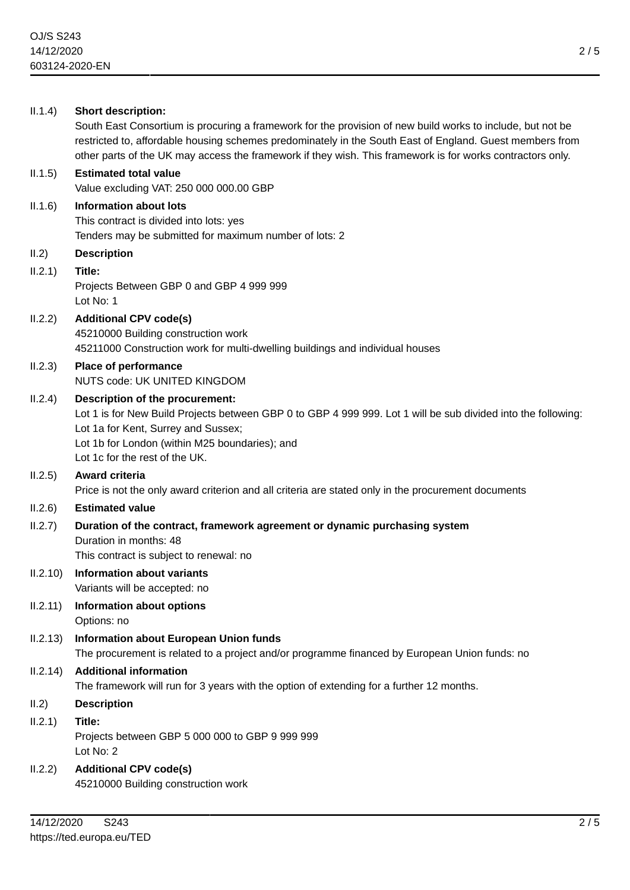| II.1.4)  | <b>Short description:</b><br>South East Consortium is procuring a framework for the provision of new build works to include, but not be<br>restricted to, affordable housing schemes predominately in the South East of England. Guest members from<br>other parts of the UK may access the framework if they wish. This framework is for works contractors only. |
|----------|-------------------------------------------------------------------------------------------------------------------------------------------------------------------------------------------------------------------------------------------------------------------------------------------------------------------------------------------------------------------|
| II.1.5)  | <b>Estimated total value</b><br>Value excluding VAT: 250 000 000.00 GBP                                                                                                                                                                                                                                                                                           |
| II.1.6)  | <b>Information about lots</b><br>This contract is divided into lots: yes<br>Tenders may be submitted for maximum number of lots: 2                                                                                                                                                                                                                                |
| II.2)    | <b>Description</b>                                                                                                                                                                                                                                                                                                                                                |
| II.2.1)  | Title:<br>Projects Between GBP 0 and GBP 4 999 999<br>Lot No: 1                                                                                                                                                                                                                                                                                                   |
| II.2.2)  | <b>Additional CPV code(s)</b><br>45210000 Building construction work<br>45211000 Construction work for multi-dwelling buildings and individual houses                                                                                                                                                                                                             |
| II.2.3)  | Place of performance<br>NUTS code: UK UNITED KINGDOM                                                                                                                                                                                                                                                                                                              |
| II.2.4)  | Description of the procurement:<br>Lot 1 is for New Build Projects between GBP 0 to GBP 4 999 999. Lot 1 will be sub divided into the following:<br>Lot 1a for Kent, Surrey and Sussex;<br>Lot 1b for London (within M25 boundaries); and<br>Lot 1c for the rest of the UK.                                                                                       |
| II.2.5)  | Award criteria<br>Price is not the only award criterion and all criteria are stated only in the procurement documents                                                                                                                                                                                                                                             |
| II.2.6)  | <b>Estimated value</b>                                                                                                                                                                                                                                                                                                                                            |
| II.2.7)  | Duration of the contract, framework agreement or dynamic purchasing system<br>Duration in months: 48<br>This contract is subject to renewal: no                                                                                                                                                                                                                   |
| 11.2.10  | Information about variants<br>Variants will be accepted: no                                                                                                                                                                                                                                                                                                       |
| II.2.11) | <b>Information about options</b><br>Options: no                                                                                                                                                                                                                                                                                                                   |
| II.2.13) | <b>Information about European Union funds</b><br>The procurement is related to a project and/or programme financed by European Union funds: no                                                                                                                                                                                                                    |
| II.2.14) | <b>Additional information</b><br>The framework will run for 3 years with the option of extending for a further 12 months.                                                                                                                                                                                                                                         |
| II.2)    | <b>Description</b>                                                                                                                                                                                                                                                                                                                                                |
| II.2.1)  | Title:<br>Projects between GBP 5 000 000 to GBP 9 999 999<br>Lot No: 2                                                                                                                                                                                                                                                                                            |
| II.2.2)  | <b>Additional CPV code(s)</b><br>45210000 Building construction work                                                                                                                                                                                                                                                                                              |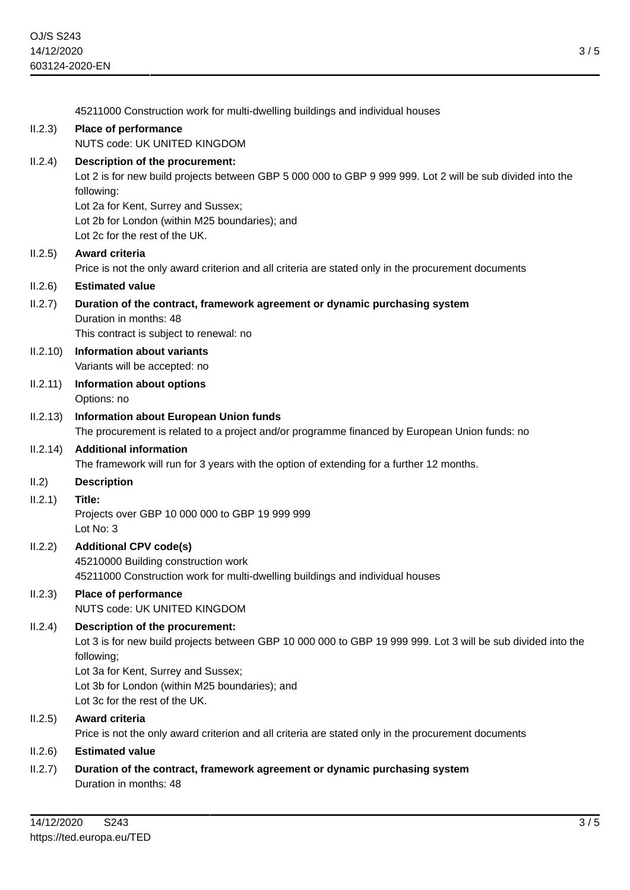45211000 Construction work for multi-dwelling buildings and individual houses II.2.3) **Place of performance** NUTS code: UK UNITED KINGDOM II.2.4) **Description of the procurement:** Lot 2 is for new build projects between GBP 5 000 000 to GBP 9 999 999. Lot 2 will be sub divided into the following: Lot 2a for Kent, Surrey and Sussex; Lot 2b for London (within M25 boundaries); and Lot 2c for the rest of the UK. II.2.5) **Award criteria** Price is not the only award criterion and all criteria are stated only in the procurement documents II.2.6) **Estimated value** II.2.7) **Duration of the contract, framework agreement or dynamic purchasing system** Duration in months: 48 This contract is subject to renewal: no II.2.10) **Information about variants** Variants will be accepted: no II.2.11) **Information about options** Options: no II.2.13) **Information about European Union funds** The procurement is related to a project and/or programme financed by European Union funds: no II.2.14) **Additional information** The framework will run for 3 years with the option of extending for a further 12 months. II.2) **Description** II.2.1) **Title:** Projects over GBP 10 000 000 to GBP 19 999 999 Lot No: 3 II.2.2) **Additional CPV code(s)** 45210000 Building construction work 45211000 Construction work for multi-dwelling buildings and individual houses II.2.3) **Place of performance** NUTS code: UK UNITED KINGDOM II.2.4) **Description of the procurement:** Lot 3 is for new build projects between GBP 10 000 000 to GBP 19 999 999. Lot 3 will be sub divided into the following; Lot 3a for Kent, Surrey and Sussex; Lot 3b for London (within M25 boundaries); and Lot 3c for the rest of the UK. II.2.5) **Award criteria** Price is not the only award criterion and all criteria are stated only in the procurement documents II.2.6) **Estimated value** II.2.7) **Duration of the contract, framework agreement or dynamic purchasing system** Duration in months: 48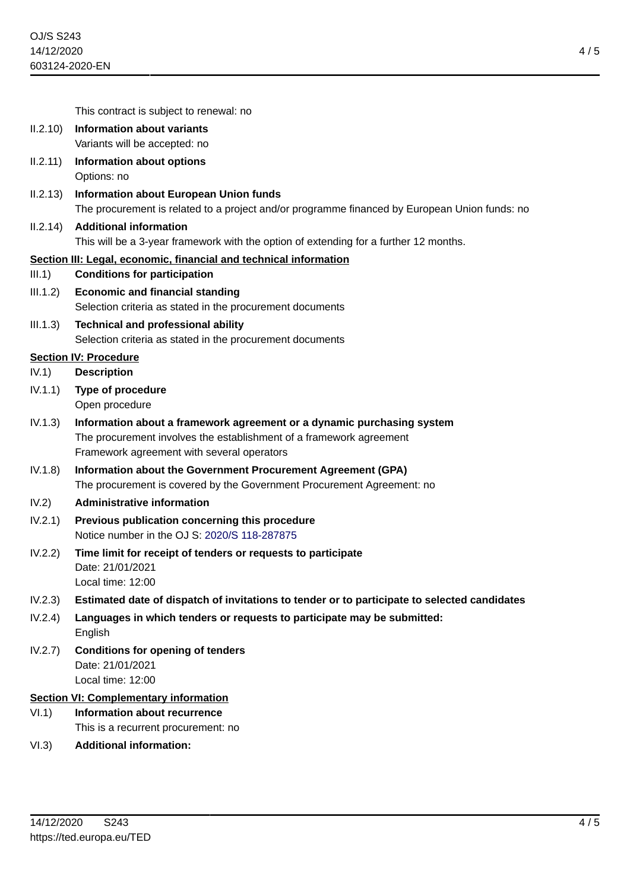4 / 5

This contract is subject to renewal: no

- II.2.10) **Information about variants** Variants will be accepted: no
- II.2.11) **Information about options** Options: no
- II.2.13) **Information about European Union funds** The procurement is related to a project and/or programme financed by European Union funds: no

## II.2.14) **Additional information**

This will be a 3-year framework with the option of extending for a further 12 months.

## **Section III: Legal, economic, financial and technical information**

- III.1) **Conditions for participation**
- III.1.2) **Economic and financial standing** Selection criteria as stated in the procurement documents
- III.1.3) **Technical and professional ability** Selection criteria as stated in the procurement documents

## **Section IV: Procedure**

- IV.1) **Description**
- IV.1.1) **Type of procedure** Open procedure
- IV.1.3) **Information about a framework agreement or a dynamic purchasing system** The procurement involves the establishment of a framework agreement Framework agreement with several operators
- IV.1.8) **Information about the Government Procurement Agreement (GPA)** The procurement is covered by the Government Procurement Agreement: no

## IV.2) **Administrative information**

- IV.2.1) **Previous publication concerning this procedure** Notice number in the OJ S: [2020/S 118-287875](https://ted.europa.eu/udl?uri=TED:NOTICE:287875-2020:TEXT:EN:HTML)
- IV.2.2) **Time limit for receipt of tenders or requests to participate** Date: 21/01/2021 Local time: 12:00
- IV.2.3) **Estimated date of dispatch of invitations to tender or to participate to selected candidates**
- IV.2.4) **Languages in which tenders or requests to participate may be submitted:** English
- IV.2.7) **Conditions for opening of tenders** Date: 21/01/2021 Local time: 12:00

## **Section VI: Complementary information**

- VI.1) **Information about recurrence** This is a recurrent procurement: no
- VI.3) **Additional information:**